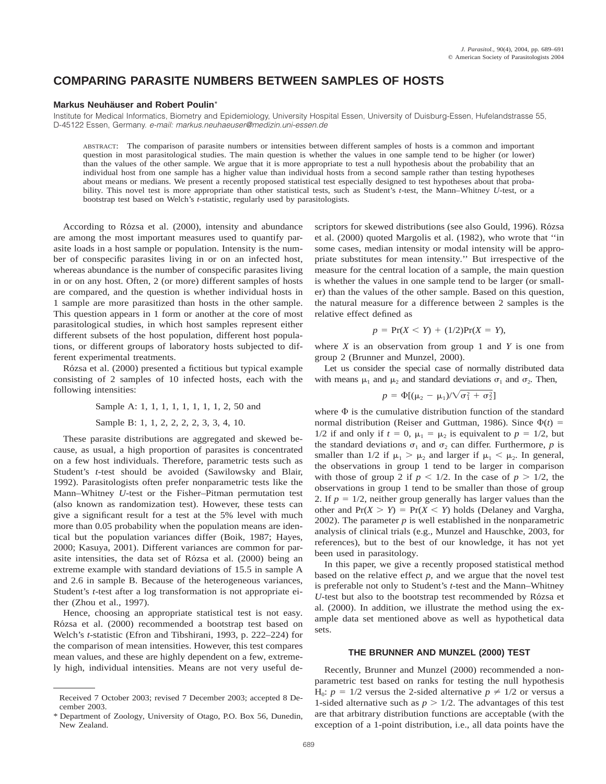# **COMPARING PARASITE NUMBERS BETWEEN SAMPLES OF HOSTS**

## **Markus Neuhäuser and Robert Poulin\***

Institute for Medical Informatics, Biometry and Epidemiology, University Hospital Essen, University of Duisburg-Essen, Hufelandstrasse 55, D-45122 Essen, Germany. e-mail: markus.neuhaeuser@medizin.uni-essen.de

ABSTRACT: The comparison of parasite numbers or intensities between different samples of hosts is a common and important question in most parasitological studies. The main question is whether the values in one sample tend to be higher (or lower) than the values of the other sample. We argue that it is more appropriate to test a null hypothesis about the probability that an individual host from one sample has a higher value than individual hosts from a second sample rather than testing hypotheses about means or medians. We present a recently proposed statistical test especially designed to test hypotheses about that probability. This novel test is more appropriate than other statistical tests, such as Student's *t*-test, the Mann–Whitney *U*-test, or a bootstrap test based on Welch's *t*-statistic, regularly used by parasitologists.

According to Rózsa et al. (2000), intensity and abundance are among the most important measures used to quantify parasite loads in a host sample or population. Intensity is the number of conspecific parasites living in or on an infected host, whereas abundance is the number of conspecific parasites living in or on any host. Often, 2 (or more) different samples of hosts are compared, and the question is whether individual hosts in 1 sample are more parasitized than hosts in the other sample. This question appears in 1 form or another at the core of most parasitological studies, in which host samples represent either different subsets of the host population, different host populations, or different groups of laboratory hosts subjected to different experimental treatments.

Rózsa et al. (2000) presented a fictitious but typical example consisting of 2 samples of 10 infected hosts, each with the following intensities:

Sample A: 1, 1, 1, 1, 1, 1, 1, 1, 2, 50 and

Sample B: 1, 1, 2, 2, 2, 2, 3, 3, 4, 10.

These parasite distributions are aggregated and skewed because, as usual, a high proportion of parasites is concentrated on a few host individuals. Therefore, parametric tests such as Student's *t*-test should be avoided (Sawilowsky and Blair, 1992). Parasitologists often prefer nonparametric tests like the Mann–Whitney *U*-test or the Fisher–Pitman permutation test (also known as randomization test). However, these tests can give a significant result for a test at the 5% level with much more than 0.05 probability when the population means are identical but the population variances differ (Boik, 1987; Hayes, 2000; Kasuya, 2001). Different variances are common for parasite intensities, the data set of Rózsa et al. (2000) being an extreme example with standard deviations of 15.5 in sample A and 2.6 in sample B. Because of the heterogeneous variances, Student's *t*-test after a log transformation is not appropriate either (Zhou et al., 1997).

Hence, choosing an appropriate statistical test is not easy. Rózsa et al. (2000) recommended a bootstrap test based on Welch's *t*-statistic (Efron and Tibshirani, 1993, p. 222–224) for the comparison of mean intensities. However, this test compares mean values, and these are highly dependent on a few, extremely high, individual intensities. Means are not very useful descriptors for skewed distributions (see also Gould, 1996). Rózsa et al. (2000) quoted Margolis et al. (1982), who wrote that ''in some cases, median intensity or modal intensity will be appropriate substitutes for mean intensity.'' But irrespective of the measure for the central location of a sample, the main question is whether the values in one sample tend to be larger (or smaller) than the values of the other sample. Based on this question, the natural measure for a difference between 2 samples is the relative effect defined as

$$
p = \Pr(X < Y) + (1/2)\Pr(X = Y),
$$

where  $X$  is an observation from group 1 and  $Y$  is one from group 2 (Brunner and Munzel, 2000).

Let us consider the special case of normally distributed data with means  $\mu_1$  and  $\mu_2$  and standard deviations  $\sigma_1$  and  $\sigma_2$ . Then,

$$
p = \Phi[(\mu_2 - \mu_1)/\sqrt{\sigma_1^2 + \sigma_2^2}]
$$

where  $\Phi$  is the cumulative distribution function of the standard normal distribution (Reiser and Guttman, 1986). Since  $\Phi(t)$  = 1/2 if and only if  $t = 0$ ,  $\mu_1 = \mu_2$  is equivalent to  $p = 1/2$ , but the standard deviations  $\sigma_1$  and  $\sigma_2$  can differ. Furthermore, *p* is smaller than 1/2 if  $\mu_1 > \mu_2$  and larger if  $\mu_1 < \mu_2$ . In general, the observations in group 1 tend to be larger in comparison with those of group 2 if  $p < 1/2$ . In the case of  $p > 1/2$ , the observations in group 1 tend to be smaller than those of group 2. If  $p = 1/2$ , neither group generally has larger values than the other and  $Pr(X > Y) = Pr(X < Y)$  holds (Delaney and Vargha, 2002). The parameter  $p$  is well established in the nonparametric analysis of clinical trials (e.g., Munzel and Hauschke, 2003, for references), but to the best of our knowledge, it has not yet been used in parasitology.

In this paper, we give a recently proposed statistical method based on the relative effect *p,* and we argue that the novel test is preferable not only to Student's *t*-test and the Mann–Whitney *U*-test but also to the bootstrap test recommended by Rózsa et al. (2000). In addition, we illustrate the method using the example data set mentioned above as well as hypothetical data sets.

### **THE BRUNNER AND MUNZEL (2000) TEST**

Recently, Brunner and Munzel (2000) recommended a nonparametric test based on ranks for testing the null hypothesis H<sub>0</sub>:  $p = 1/2$  versus the 2-sided alternative  $p \neq 1/2$  or versus a 1-sided alternative such as  $p > 1/2$ . The advantages of this test are that arbitrary distribution functions are acceptable (with the exception of a 1-point distribution, i.e., all data points have the

Received 7 October 2003; revised 7 December 2003; accepted 8 December 2003.

Department of Zoology, University of Otago, P.O. Box 56, Dunedin, New Zealand.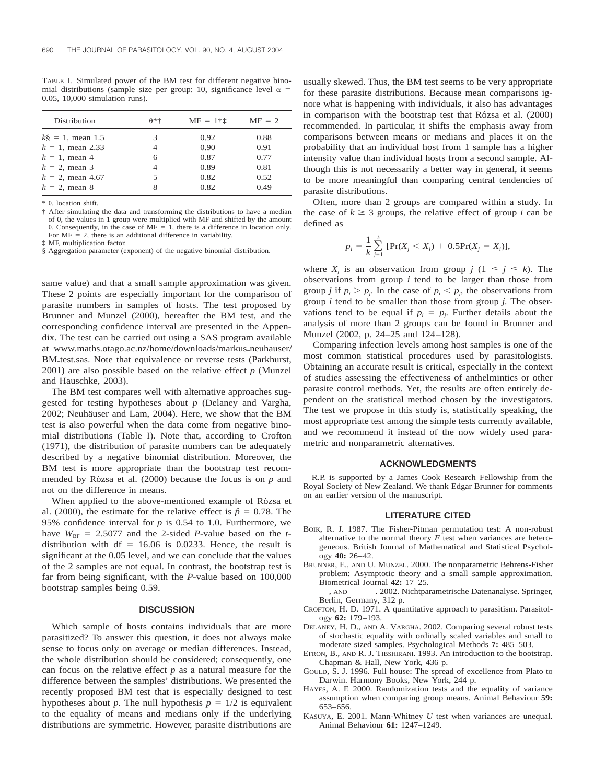TABLE I. Simulated power of the BM test for different negative binomial distributions (sample size per group: 10, significance level  $\alpha =$ 0.05, 10,000 simulation runs).

| <b>Distribution</b> | $\theta$ *+ | $MF = 111$ | $MF = 2$ |
|---------------------|-------------|------------|----------|
| $k\$ = 1, mean 1.5  | 3           | 0.92       | 0.88     |
| $k = 1$ , mean 2.33 | 4           | 0.90       | 0.91     |
| $k = 1$ , mean 4    | 6           | 0.87       | 0.77     |
| $k = 2$ , mean 3    | 4           | 0.89       | 0.81     |
| $k = 2$ , mean 4.67 | 5           | 0.82       | 0.52     |
| $k = 2$ , mean 8    | 8           | 0.82       | 0.49     |

 $*$   $\theta$ . location shift.

§ Aggregation parameter (exponent) of the negative binomial distribution.

same value) and that a small sample approximation was given. These 2 points are especially important for the comparison of parasite numbers in samples of hosts. The test proposed by Brunner and Munzel (2000), hereafter the BM test, and the corresponding confidence interval are presented in the Appendix. The test can be carried out using a SAS program available at www.maths.otago.ac.nz/home/downloads/markus\_neuhauser/ BM\_test.sas. Note that equivalence or reverse tests (Parkhurst, 2001) are also possible based on the relative effect *p* (Munzel and Hauschke, 2003).

The BM test compares well with alternative approaches suggested for testing hypotheses about *p* (Delaney and Vargha, 2002; Neuhäuser and Lam, 2004). Here, we show that the BM test is also powerful when the data come from negative binomial distributions (Table I). Note that, according to Crofton (1971), the distribution of parasite numbers can be adequately described by a negative binomial distribution. Moreover, the BM test is more appropriate than the bootstrap test recommended by Rózsa et al. (2000) because the focus is on  $p$  and not on the difference in means.

When applied to the above-mentioned example of Rózsa et al. (2000), the estimate for the relative effect is  $\hat{p} = 0.78$ . The 95% confidence interval for *p* is 0.54 to 1.0. Furthermore, we have  $W_{BF} = 2.5077$  and the 2-sided *P*-value based on the *t*distribution with  $df = 16.06$  is 0.0233. Hence, the result is significant at the 0.05 level, and we can conclude that the values of the 2 samples are not equal. In contrast, the bootstrap test is far from being significant, with the *P*-value based on 100,000 bootstrap samples being 0.59.

## **DISCUSSION**

Which sample of hosts contains individuals that are more parasitized? To answer this question, it does not always make sense to focus only on average or median differences. Instead, the whole distribution should be considered; consequently, one can focus on the relative effect  $p$  as a natural measure for the difference between the samples' distributions. We presented the recently proposed BM test that is especially designed to test hypotheses about *p*. The null hypothesis  $p = 1/2$  is equivalent to the equality of means and medians only if the underlying distributions are symmetric. However, parasite distributions are

usually skewed. Thus, the BM test seems to be very appropriate for these parasite distributions. Because mean comparisons ignore what is happening with individuals, it also has advantages in comparison with the bootstrap test that Rózsa et al. (2000) recommended. In particular, it shifts the emphasis away from comparisons between means or medians and places it on the probability that an individual host from 1 sample has a higher intensity value than individual hosts from a second sample. Although this is not necessarily a better way in general, it seems to be more meaningful than comparing central tendencies of parasite distributions.

Often, more than 2 groups are compared within a study. In the case of  $k \geq 3$  groups, the relative effect of group *i* can be defined as

$$
p_i = \frac{1}{k} \sum_{j=1}^k \text{[Pr}(X_j < X_i) + 0.5 \text{Pr}(X_j = X_i) \text{]},
$$

where  $X_i$  is an observation from group  $j$  ( $1 \leq j \leq k$ ). The observations from group *i* tend to be larger than those from group *j* if  $p_i > p_j$ . In the case of  $p_i < p_j$ , the observations from group *i* tend to be smaller than those from group *j.* The observations tend to be equal if  $p_i = p_j$ . Further details about the analysis of more than 2 groups can be found in Brunner and Munzel (2002, p. 24–25 and 124–128).

Comparing infection levels among host samples is one of the most common statistical procedures used by parasitologists. Obtaining an accurate result is critical, especially in the context of studies assessing the effectiveness of anthelmintics or other parasite control methods. Yet, the results are often entirely dependent on the statistical method chosen by the investigators. The test we propose in this study is, statistically speaking, the most appropriate test among the simple tests currently available, and we recommend it instead of the now widely used parametric and nonparametric alternatives.

#### **ACKNOWLEDGMENTS**

R.P. is supported by a James Cook Research Fellowship from the Royal Society of New Zealand. We thank Edgar Brunner for comments on an earlier version of the manuscript.

#### **LITERATURE CITED**

- BOIK, R. J. 1987. The Fisher-Pitman permutation test: A non-robust alternative to the normal theory  $F$  test when variances are heterogeneous. British Journal of Mathematical and Statistical Psychology **40:** 26–42.
- BRUNNER, E., AND U. MUNZEL. 2000. The nonparametric Behrens-Fisher problem: Asymptotic theory and a small sample approximation. Biometrical Journal **42:** 17–25.
- ———, AND ———. 2002. Nichtparametrische Datenanalyse. Springer, Berlin, Germany, 312 p.
- CROFTON, H. D. 1971. A quantitative approach to parasitism. Parasitology **62:** 179–193.
- DELANEY, H. D., AND A. VARGHA. 2002. Comparing several robust tests of stochastic equality with ordinally scaled variables and small to moderate sized samples. Psychological Methods **7:** 485–503.
- EFRON, B., AND R. J. TIBSHIRANI. 1993. An introduction to the bootstrap. Chapman & Hall, New York, 436 p.
- GOULD, S. J. 1996. Full house: The spread of excellence from Plato to Darwin. Harmony Books, New York, 244 p.
- HAYES, A. F. 2000. Randomization tests and the equality of variance assumption when comparing group means. Animal Behaviour **59:** 653–656.
- KASUYA, E. 2001. Mann-Whitney *U* test when variances are unequal. Animal Behaviour **61:** 1247–1249.

<sup>†</sup> After simulating the data and transforming the distributions to have a median of 0, the values in 1 group were multiplied with MF and shifted by the amount  $\theta$ . Consequently, in the case of MF = 1, there is a difference in location only. For  $MF = 2$ , there is an additional difference in variability.

<sup>‡</sup> MF, multiplication factor.